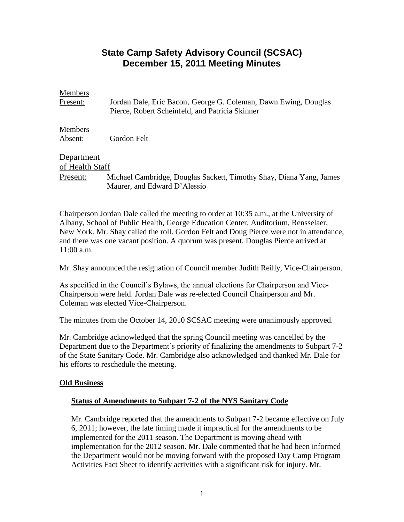# **State Camp Safety Advisory Council (SCSAC) December 15, 2011 Meeting Minutes**

## Members

Present: Jordan Dale, Eric Bacon, George G. Coleman, Dawn Ewing, Douglas Pierce, Robert Scheinfeld, and Patricia Skinner

**Members** Absent: Gordon Felt

# Department

of Health Staff Present: Michael Cambridge, Douglas Sackett, Timothy Shay, Diana Yang, James Maurer, and Edward D'Alessio

Chairperson Jordan Dale called the meeting to order at 10:35 a.m., at the University of Albany, School of Public Health, George Education Center, Auditorium, Rensselaer, New York. Mr. Shay called the roll. Gordon Felt and Doug Pierce were not in attendance, and there was one vacant position. A quorum was present. Douglas Pierce arrived at 11:00 a.m.

Mr. Shay announced the resignation of Council member Judith Reilly, Vice-Chairperson.

As specified in the Council's Bylaws, the annual elections for Chairperson and Vice-Chairperson were held. Jordan Dale was re-elected Council Chairperson and Mr. Coleman was elected Vice-Chairperson.

The minutes from the October 14, 2010 SCSAC meeting were unanimously approved.

Mr. Cambridge acknowledged that the spring Council meeting was cancelled by the Department due to the Department's priority of finalizing the amendments to Subpart 7-2 of the State Sanitary Code. Mr. Cambridge also acknowledged and thanked Mr. Dale for his efforts to reschedule the meeting.

## **Old Business**

## **Status of Amendments to Subpart 7-2 of the NYS Sanitary Code**

Mr. Cambridge reported that the amendments to Subpart 7-2 became effective on July 6, 2011; however, the late timing made it impractical for the amendments to be implemented for the 2011 season. The Department is moving ahead with implementation for the 2012 season. Mr. Dale commented that he had been informed the Department would not be moving forward with the proposed Day Camp Program Activities Fact Sheet to identify activities with a significant risk for injury. Mr.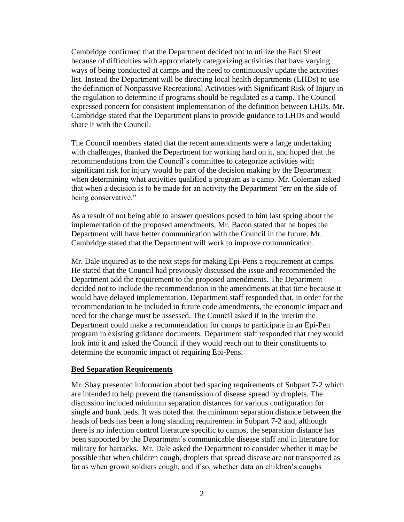Cambridge confirmed that the Department decided not to utilize the Fact Sheet because of difficulties with appropriately categorizing activities that have varying ways of being conducted at camps and the need to continuously update the activities list. Instead the Department will be directing local health departments (LHDs) to use the definition of Nonpassive Recreational Activities with Significant Risk of Injury in the regulation to determine if programs should be regulated as a camp. The Council expressed concern for consistent implementation of the definition between LHDs. Mr. Cambridge stated that the Department plans to provide guidance to LHDs and would share it with the Council.

The Council members stated that the recent amendments were a large undertaking with challenges, thanked the Department for working hard on it, and hoped that the recommendations from the Council's committee to categorize activities with significant risk for injury would be part of the decision making by the Department when determining what activities qualified a program as a camp. Mr. Coleman asked that when a decision is to be made for an activity the Department "err on the side of being conservative."

As a result of not being able to answer questions posed to him last spring about the implementation of the proposed amendments, Mr. Bacon stated that he hopes the Department will have better communication with the Council in the future. Mr. Cambridge stated that the Department will work to improve communication.

Mr. Dale inquired as to the next steps for making Epi-Pens a requirement at camps. He stated that the Council had previously discussed the issue and recommended the Department add the requirement to the proposed amendments. The Department decided not to include the recommendation in the amendments at that time because it would have delayed implementation. Department staff responded that, in order for the recommendation to be included in future code amendments, the economic impact and need for the change must be assessed. The Council asked if in the interim the Department could make a recommendation for camps to participate in an Epi-Pen program in existing guidance documents. Department staff responded that they would look into it and asked the Council if they would reach out to their constituents to determine the economic impact of requiring Epi-Pens.

#### **Bed Separation Requirements**

Mr. Shay presented information about bed spacing requirements of Subpart 7-2 which are intended to help prevent the transmission of disease spread by droplets. The discussion included minimum separation distances for various configuration for single and bunk beds. It was noted that the minimum separation distance between the heads of beds has been a long standing requirement in Subpart 7-2 and, although there is no infection control literature specific to camps, the separation distance has been supported by the Department's communicable disease staff and in literature for military for barracks. Mr. Dale asked the Department to consider whether it may be possible that when children cough, droplets that spread disease are not transported as far as when grown soldiers cough, and if so, whether data on children's coughs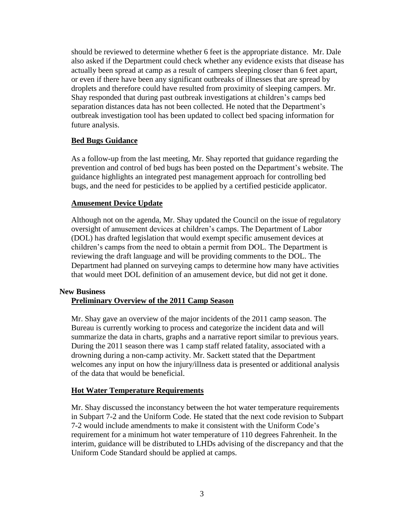should be reviewed to determine whether 6 feet is the appropriate distance. Mr. Dale also asked if the Department could check whether any evidence exists that disease has actually been spread at camp as a result of campers sleeping closer than 6 feet apart, or even if there have been any significant outbreaks of illnesses that are spread by droplets and therefore could have resulted from proximity of sleeping campers. Mr. Shay responded that during past outbreak investigations at children's camps bed separation distances data has not been collected. He noted that the Department's outbreak investigation tool has been updated to collect bed spacing information for future analysis.

## **Bed Bugs Guidance**

As a follow-up from the last meeting, Mr. Shay reported that guidance regarding the prevention and control of bed bugs has been posted on the Department's website. The guidance highlights an integrated pest management approach for controlling bed bugs, and the need for pesticides to be applied by a certified pesticide applicator.

## **Amusement Device Update**

Although not on the agenda, Mr. Shay updated the Council on the issue of regulatory oversight of amusement devices at children's camps. The Department of Labor (DOL) has drafted legislation that would exempt specific amusement devices at children's camps from the need to obtain a permit from DOL. The Department is reviewing the draft language and will be providing comments to the DOL. The Department had planned on surveying camps to determine how many have activities that would meet DOL definition of an amusement device, but did not get it done.

#### **New Business**

## **Preliminary Overview of the 2011 Camp Season**

Mr. Shay gave an overview of the major incidents of the 2011 camp season. The Bureau is currently working to process and categorize the incident data and will summarize the data in charts, graphs and a narrative report similar to previous years. During the 2011 season there was 1 camp staff related fatality, associated with a drowning during a non-camp activity. Mr. Sackett stated that the Department welcomes any input on how the injury/illness data is presented or additional analysis of the data that would be beneficial.

#### **Hot Water Temperature Requirements**

Mr. Shay discussed the inconstancy between the hot water temperature requirements in Subpart 7-2 and the Uniform Code. He stated that the next code revision to Subpart 7-2 would include amendments to make it consistent with the Uniform Code's requirement for a minimum hot water temperature of 110 degrees Fahrenheit. In the interim, guidance will be distributed to LHDs advising of the discrepancy and that the Uniform Code Standard should be applied at camps.